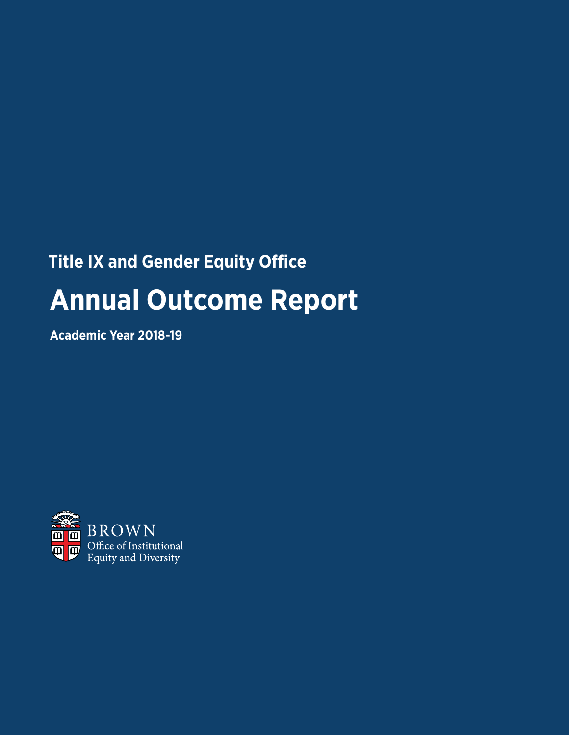# **Title IX and Gender Equity Office Annual Outcome Report**

**Academic Year 2018-19**

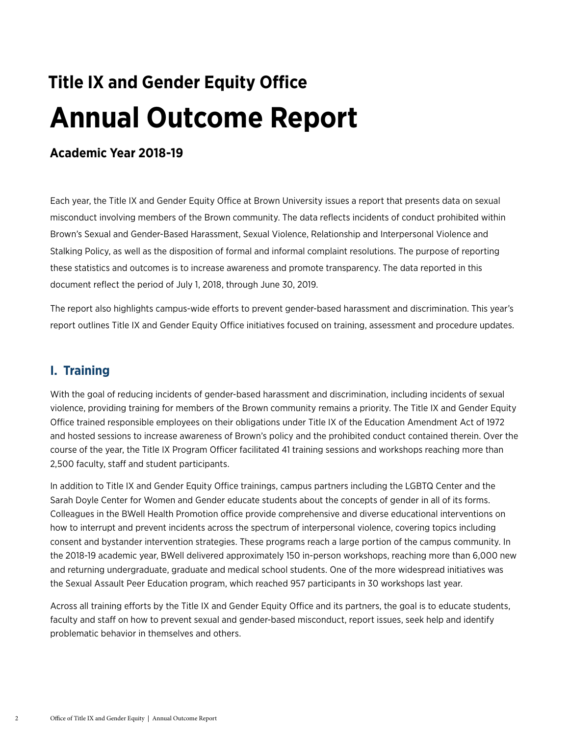## **Title IX and Gender Equity Office Annual Outcome Report**

## **Academic Year 2018-19**

Each year, the Title IX and Gender Equity Office at Brown University issues a report that presents data on sexual misconduct involving members of the Brown community. The data reflects incidents of conduct prohibited within Brown's Sexual and Gender-Based Harassment, Sexual Violence, Relationship and Interpersonal Violence and Stalking Policy, as well as the disposition of formal and informal complaint resolutions. The purpose of reporting these statistics and outcomes is to increase awareness and promote transparency. The data reported in this document reflect the period of July 1, 2018, through June 30, 2019.

The report also highlights campus-wide efforts to prevent gender-based harassment and discrimination. This year's report outlines Title IX and Gender Equity Office initiatives focused on training, assessment and procedure updates.

## **I. Training**

With the goal of reducing incidents of gender-based harassment and discrimination, including incidents of sexual violence, providing training for members of the Brown community remains a priority. The Title IX and Gender Equity Office trained responsible employees on their obligations under Title IX of the Education Amendment Act of 1972 and hosted sessions to increase awareness of Brown's policy and the prohibited conduct contained therein. Over the course of the year, the Title IX Program Officer facilitated 41 training sessions and workshops reaching more than 2,500 faculty, staff and student participants.

In addition to Title IX and Gender Equity Office trainings, campus partners including the LGBTQ Center and the Sarah Doyle Center for Women and Gender educate students about the concepts of gender in all of its forms. Colleagues in the BWell Health Promotion office provide comprehensive and diverse educational interventions on how to interrupt and prevent incidents across the spectrum of interpersonal violence, covering topics including consent and bystander intervention strategies. These programs reach a large portion of the campus community. In the 2018-19 academic year, BWell delivered approximately 150 in-person workshops, reaching more than 6,000 new and returning undergraduate, graduate and medical school students. One of the more widespread initiatives was the Sexual Assault Peer Education program, which reached 957 participants in 30 workshops last year.

Across all training efforts by the Title IX and Gender Equity Office and its partners, the goal is to educate students, faculty and staff on how to prevent sexual and gender-based misconduct, report issues, seek help and identify problematic behavior in themselves and others.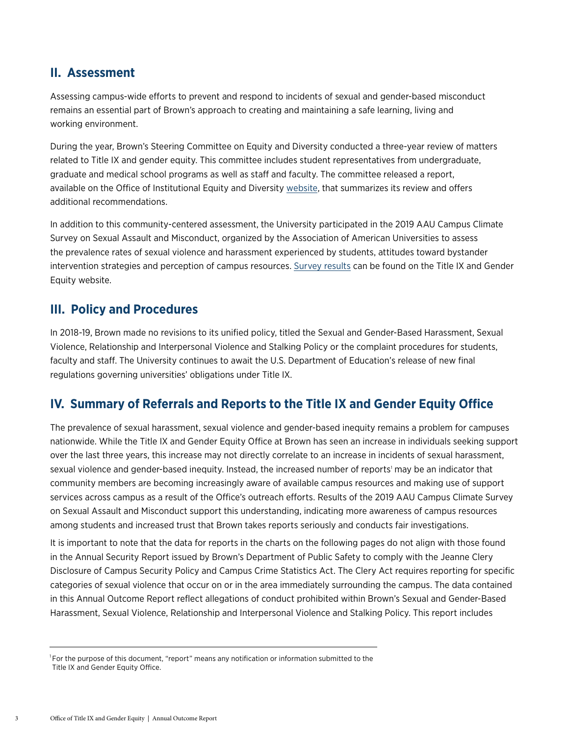## **II. Assessment**

Assessing campus-wide efforts to prevent and respond to incidents of sexual and gender-based misconduct remains an essential part of Brown's approach to creating and maintaining a safe learning, living and working environment.

During the year, Brown's Steering Committee on Equity and Diversity conducted a three-year review of matters related to Title IX and gender equity. This committee includes student representatives from undergraduate, graduate and medical school programs as well as staff and faculty. The committee released a report, available on the Office of Institutional Equity and Diversity [website,](https://www.brown.edu/about/administration/institutional-diversity/title-ix-three-year-review) that summarizes its review and offers additional recommendations.

In addition to this community-centered assessment, the University participated in the 2019 AAU Campus Climate Survey on Sexual Assault and Misconduct, organized by the Association of American Universities to assess the prevalence rates of sexual violence and harassment experienced by students, attitudes toward bystander intervention strategies and perception of campus resources. [Survey results](https://www.brown.edu/about/administration/title-ix/survey) can be found on the Title IX and Gender Equity website.

## **III. Policy and Procedures**

In 2018-19, Brown made no revisions to its unified policy, titled the Sexual and Gender-Based Harassment, Sexual Violence, Relationship and Interpersonal Violence and Stalking Policy or the complaint procedures for students, faculty and staff. The University continues to await the U.S. Department of Education's release of new final regulations governing universities' obligations under Title IX.

## **IV. Summary of Referrals and Reports to the Title IX and Gender Equity Office**

The prevalence of sexual harassment, sexual violence and gender-based inequity remains a problem for campuses nationwide. While the Title IX and Gender Equity Office at Brown has seen an increase in individuals seeking support over the last three years, this increase may not directly correlate to an increase in incidents of sexual harassment, sexual violence and gender-based inequity. Instead, the increased number of reports' may be an indicator that community members are becoming increasingly aware of available campus resources and making use of support services across campus as a result of the Office's outreach efforts. Results of the 2019 AAU Campus Climate Survey on Sexual Assault and Misconduct support this understanding, indicating more awareness of campus resources among students and increased trust that Brown takes reports seriously and conducts fair investigations.

It is important to note that the data for reports in the charts on the following pages do not align with those found in the Annual Security Report issued by Brown's Department of Public Safety to comply with the Jeanne Clery Disclosure of Campus Security Policy and Campus Crime Statistics Act. The Clery Act requires reporting for specific categories of sexual violence that occur on or in the area immediately surrounding the campus. The data contained in this Annual Outcome Report reflect allegations of conduct prohibited within Brown's Sexual and Gender-Based Harassment, Sexual Violence, Relationship and Interpersonal Violence and Stalking Policy. This report includes

<sup>&</sup>lt;sup>1</sup>For the purpose of this document, "report" means any notification or information submitted to the Title IX and Gender Equity Office.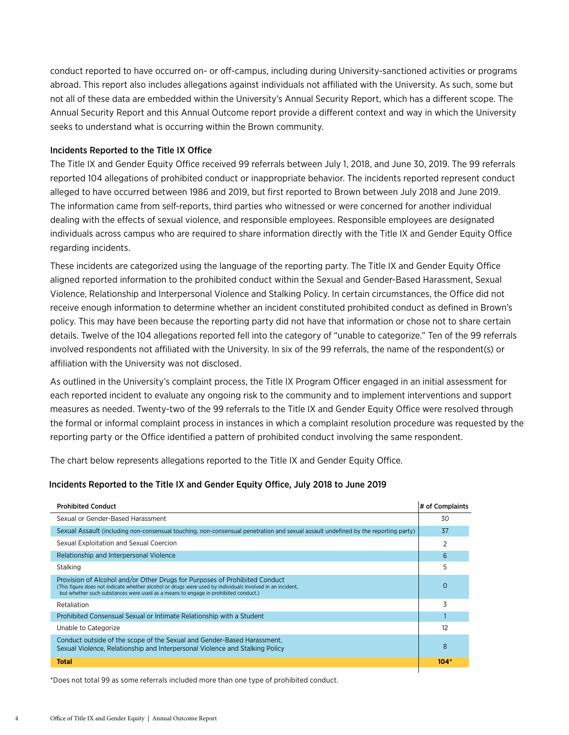conduct reported to have occurred on- or off-campus, including during University-sanctioned activities or programs abroad. This report also includes allegations against individuals not affiliated with the University. As such, some but not all of these data are embedded within the University's Annual Security Report, which has a different scope. The Annual Security Report and this Annual Outcome report provide a different context and way in which the University seeks to understand what is occurring within the Brown community.

#### Incidents Reported to the Title IX Office

The Title IX and Gender Equity Office received 99 referrals between July 1, 2018, and June 30, 2019. The 99 referrals reported 104 allegations of prohibited conduct or inappropriate behavior. The incidents reported represent conduct alleged to have occurred between 1986 and 2019, but first reported to Brown between July 2018 and June 2019. The information came from self-reports, third parties who witnessed or were concerned for another individual dealing with the effects of sexual violence, and responsible employees. Responsible employees are designated individuals across campus who are required to share information directly with the Title IX and Gender Equity Office regarding incidents.

These incidents are categorized using the language of the reporting party. The Title IX and Gender Equity Office aligned reported information to the prohibited conduct within the Sexual and Gender-Based Harassment, Sexual Violence, Relationship and Interpersonal Violence and Stalking Policy. In certain circumstances, the Office did not receive enough information to determine whether an incident constituted prohibited conduct as defined in Brown's policy. This may have been because the reporting party did not have that information or chose not to share certain details. Twelve of the 104 allegations reported fell into the category of "unable to categorize." Ten of the 99 referrals involved respondents not affiliated with the University. In six of the 99 referrals, the name of the respondent(s) or affiliation with the University was not disclosed.

As outlined in the University's complaint process, the Title IX Program Officer engaged in an initial assessment for each reported incident to evaluate any ongoing risk to the community and to implement interventions and support measures as needed. Twenty-two of the 99 referrals to the Title IX and Gender Equity Office were resolved through the formal or informal complaint process in instances in which a complaint resolution procedure was requested by the reporting party or the Office identified a pattern of prohibited conduct involving the same respondent.

The chart below represents allegations reported to the Title IX and Gender Equity Office.

#### Incidents Reported to the Title IX and Gender Equity Office, July 2018 to June 2019

| <b>Prohibited Conduct</b>                                                                                                                                                                                                                                                     | # of Complaints |
|-------------------------------------------------------------------------------------------------------------------------------------------------------------------------------------------------------------------------------------------------------------------------------|-----------------|
| Sexual or Gender-Based Harassment                                                                                                                                                                                                                                             | 30              |
| Sexual Assault (including non-consensual touching, non-consensual penetration and sexual assault undefined by the reporting party)                                                                                                                                            | 37              |
| Sexual Exploitation and Sexual Coercion                                                                                                                                                                                                                                       |                 |
| Relationship and Interpersonal Violence                                                                                                                                                                                                                                       | 6               |
| Stalking                                                                                                                                                                                                                                                                      | 5               |
| Provision of Alcohol and/or Other Drugs for Purposes of Prohibited Conduct<br>(This figure does not indicate whether alcohol or drugs were used by individuals involved in an incident,<br>but whether such substances were used as a means to engage in prohibited conduct.) | O               |
| Retaliation                                                                                                                                                                                                                                                                   | 3               |
| Prohibited Consensual Sexual or Intimate Relationship with a Student                                                                                                                                                                                                          |                 |
| Unable to Categorize                                                                                                                                                                                                                                                          | 12              |
| Conduct outside of the scope of the Sexual and Gender-Based Harassment,<br>Sexual Violence, Relationship and Interpersonal Violence and Stalking Policy                                                                                                                       | 8               |
| Total                                                                                                                                                                                                                                                                         | $104*$          |

\*Does not total 99 as some referrals included more than one type of prohibited conduct.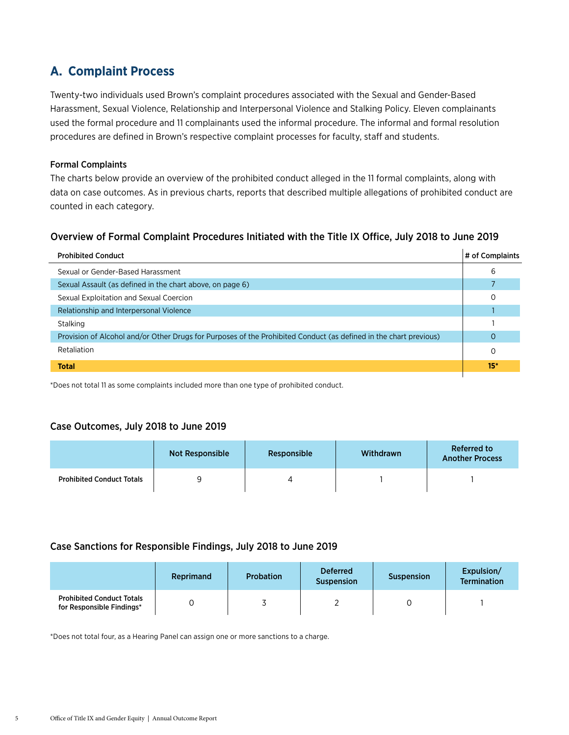## **A. Complaint Process**

Twenty-two individuals used Brown's complaint procedures associated with the Sexual and Gender-Based Harassment, Sexual Violence, Relationship and Interpersonal Violence and Stalking Policy. Eleven complainants used the formal procedure and 11 complainants used the informal procedure. The informal and formal resolution procedures are defined in Brown's respective complaint processes for faculty, staff and students.

#### Formal Complaints

The charts below provide an overview of the prohibited conduct alleged in the 11 formal complaints, along with data on case outcomes. As in previous charts, reports that described multiple allegations of prohibited conduct are counted in each category.

### Overview of Formal Complaint Procedures Initiated with the Title IX Office, July 2018 to June 2019

| <b>Prohibited Conduct</b>                                                                                         | # of Complaints |
|-------------------------------------------------------------------------------------------------------------------|-----------------|
| Sexual or Gender-Based Harassment                                                                                 | 6               |
| Sexual Assault (as defined in the chart above, on page 6)                                                         |                 |
| Sexual Exploitation and Sexual Coercion                                                                           | 0               |
| Relationship and Interpersonal Violence                                                                           |                 |
| Stalking                                                                                                          |                 |
| Provision of Alcohol and/or Other Drugs for Purposes of the Prohibited Conduct (as defined in the chart previous) |                 |
| Retaliation                                                                                                       | 0               |
| <b>Total</b>                                                                                                      | $15*$           |

\*Does not total 11 as some complaints included more than one type of prohibited conduct.

#### Case Outcomes, July 2018 to June 2019

|                                  | Not Responsible | Responsible | Withdrawn | <b>Referred to</b><br><b>Another Process</b> |
|----------------------------------|-----------------|-------------|-----------|----------------------------------------------|
| <b>Prohibited Conduct Totals</b> |                 |             |           |                                              |

## Case Sanctions for Responsible Findings, July 2018 to June 2019

|                                                               | Reprimand | <b>Probation</b> | <b>Deferred</b><br><b>Suspension</b> | <b>Suspension</b> | Expulsion/<br><b>Termination</b> |
|---------------------------------------------------------------|-----------|------------------|--------------------------------------|-------------------|----------------------------------|
| <b>Prohibited Conduct Totals</b><br>for Responsible Findings* |           |                  |                                      |                   |                                  |

\*Does not total four, as a Hearing Panel can assign one or more sanctions to a charge.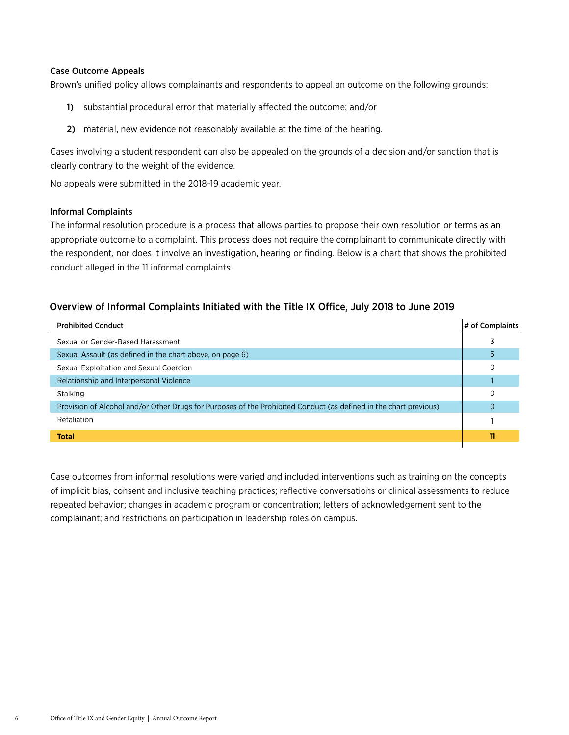#### Case Outcome Appeals

Brown's unified policy allows complainants and respondents to appeal an outcome on the following grounds:

- 1) substantial procedural error that materially affected the outcome; and/or
- 2) material, new evidence not reasonably available at the time of the hearing.

Cases involving a student respondent can also be appealed on the grounds of a decision and/or sanction that is clearly contrary to the weight of the evidence.

No appeals were submitted in the 2018-19 academic year.

#### Informal Complaints

The informal resolution procedure is a process that allows parties to propose their own resolution or terms as an appropriate outcome to a complaint. This process does not require the complainant to communicate directly with the respondent, nor does it involve an investigation, hearing or finding. Below is a chart that shows the prohibited conduct alleged in the 11 informal complaints.

### Overview of Informal Complaints Initiated with the Title IX Office, July 2018 to June 2019

| <b>Prohibited Conduct</b>                                                                                         | # of Complaints |
|-------------------------------------------------------------------------------------------------------------------|-----------------|
| Sexual or Gender-Based Harassment                                                                                 |                 |
| Sexual Assault (as defined in the chart above, on page 6)                                                         | 6               |
| Sexual Exploitation and Sexual Coercion                                                                           | O               |
| Relationship and Interpersonal Violence                                                                           |                 |
| Stalking                                                                                                          | 0               |
| Provision of Alcohol and/or Other Drugs for Purposes of the Prohibited Conduct (as defined in the chart previous) | O               |
| Retaliation                                                                                                       |                 |
| <b>Total</b>                                                                                                      | 11              |
|                                                                                                                   |                 |

Case outcomes from informal resolutions were varied and included interventions such as training on the concepts of implicit bias, consent and inclusive teaching practices; reflective conversations or clinical assessments to reduce repeated behavior; changes in academic program or concentration; letters of acknowledgement sent to the complainant; and restrictions on participation in leadership roles on campus.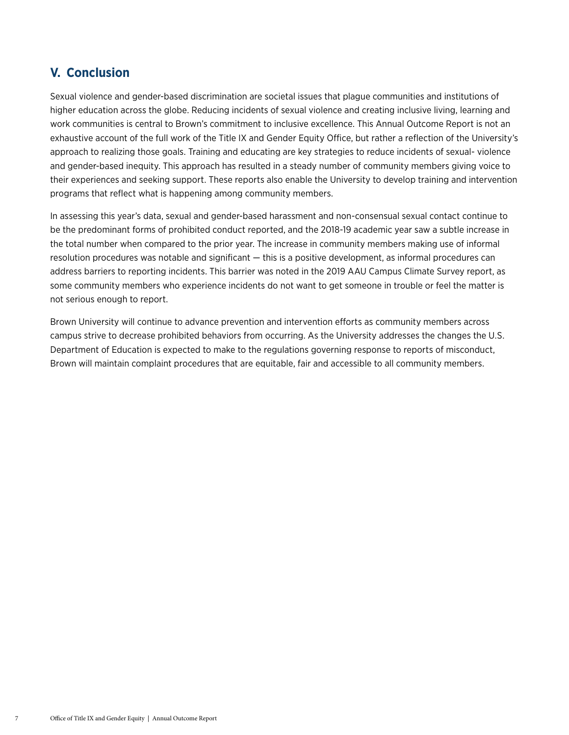## **V. Conclusion**

Sexual violence and gender-based discrimination are societal issues that plague communities and institutions of higher education across the globe. Reducing incidents of sexual violence and creating inclusive living, learning and work communities is central to Brown's commitment to inclusive excellence. This Annual Outcome Report is not an exhaustive account of the full work of the Title IX and Gender Equity Office, but rather a reflection of the University's approach to realizing those goals. Training and educating are key strategies to reduce incidents of sexual- violence and gender-based inequity. This approach has resulted in a steady number of community members giving voice to their experiences and seeking support. These reports also enable the University to develop training and intervention programs that reflect what is happening among community members.

In assessing this year's data, sexual and gender-based harassment and non-consensual sexual contact continue to be the predominant forms of prohibited conduct reported, and the 2018-19 academic year saw a subtle increase in the total number when compared to the prior year. The increase in community members making use of informal resolution procedures was notable and significant — this is a positive development, as informal procedures can address barriers to reporting incidents. This barrier was noted in the 2019 AAU Campus Climate Survey report, as some community members who experience incidents do not want to get someone in trouble or feel the matter is not serious enough to report.

Brown University will continue to advance prevention and intervention efforts as community members across campus strive to decrease prohibited behaviors from occurring. As the University addresses the changes the U.S. Department of Education is expected to make to the regulations governing response to reports of misconduct, Brown will maintain complaint procedures that are equitable, fair and accessible to all community members.